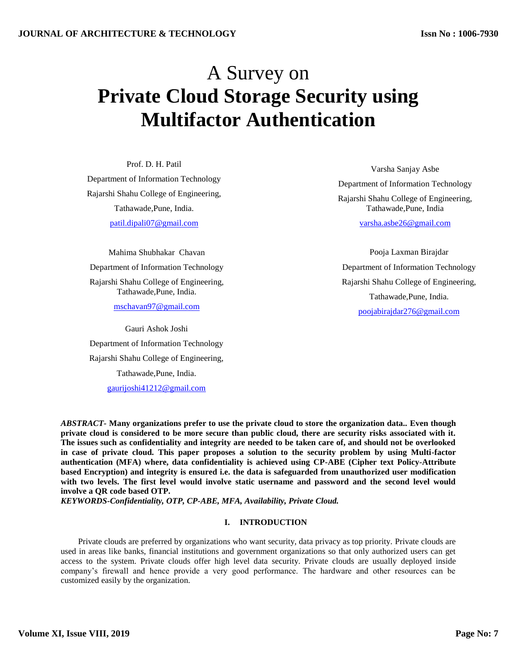# A Survey on **Private Cloud Storage Security using Multifactor Authentication**

Prof. D. H. Patil Department of Information Technology Rajarshi Shahu College of Engineering, Tathawade,Pune, India. patil.dipali07@gmail.com

Mahima Shubhakar Chavan Department of Information Technology Rajarshi Shahu College of Engineering,

Tathawade,Pune, India.

mschavan97@gmail.com

Gauri Ashok Joshi Department of Information Technology Rajarshi Shahu College of Engineering, Tathawade,Pune, India.

gaurijoshi41212@gmail.com

Varsha Sanjay Asbe Department of Information Technology Rajarshi Shahu College of Engineering, Tathawade,Pune, India

varsha.asbe26@gmail.com

Pooja Laxman Birajdar Department of Information Technology Rajarshi Shahu College of Engineering, Tathawade,Pune, India. poojabirajdar276@gmail.com

*ABSTRACT-* **Many organizations prefer to use the private cloud to store the organization data.. Even though private cloud is considered to be more secure than public cloud, there are security risks associated with it. The issues such as confidentiality and integrity are needed to be taken care of, and should not be overlooked in case of private cloud. This paper proposes a solution to the security problem by using Multi-factor authentication (MFA) where, data confidentiality is achieved using CP-ABE (Cipher text Policy-Attribute based Encryption) and integrity is ensured i.e. the data is safeguarded from unauthorized user modification with two levels. The first level would involve static username and password and the second level would involve a QR code based OTP.**

*KEYWORDS***-***Confidentiality, OTP, CP-ABE, MFA, Availability, Private Cloud.*

## **I. INTRODUCTION**

Private clouds are preferred by organizations who want security, data privacy as top priority. Private clouds are used in areas like banks, financial institutions and government organizations so that only authorized users can get access to the system. Private clouds offer high level data security. Private clouds are usually deployed inside company's firewall and hence provide a very good performance. The hardware and other resources can be customized easily by the organization.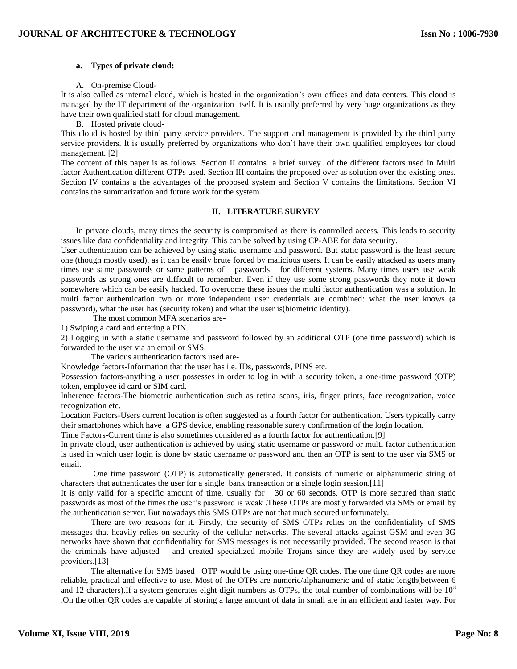### **a. Types of private cloud:**

A. On-premise Cloud-

It is also called as internal cloud, which is hosted in the organization's own offices and data centers. This cloud is managed by the IT department of the organization itself. It is usually preferred by very huge organizations as they have their own qualified staff for cloud management.

B. Hosted private cloud-

This cloud is hosted by third party service providers. The support and management is provided by the third party service providers. It is usually preferred by organizations who don't have their own qualified employees for cloud management. [2]

The content of this paper is as follows: Section II contains a brief survey of the different factors used in Multi factor Authentication different OTPs used. Section III contains the proposed over as solution over the existing ones. Section IV contains a the advantages of the proposed system and Section V contains the limitations. Section VI contains the summarization and future work for the system.

## **II. LITERATURE SURVEY**

In private clouds, many times the security is compromised as there is controlled access. This leads to security issues like data confidentiality and integrity. This can be solved by using CP-ABE for data security.

User authentication can be achieved by using static username and password. But static password is the least secure one (though mostly used), as it can be easily brute forced by malicious users. It can be easily attacked as users many times use same passwords or same patterns of passwords for different systems. Many times users use weak passwords as strong ones are difficult to remember. Even if they use some strong passwords they note it down somewhere which can be easily hacked. To overcome these issues the multi factor authentication was a solution. In multi factor authentication two or more independent user credentials are combined: what the user knows (a password), what the user has (security token) and what the user is(biometric identity).

The most common MFA scenarios are-

1) Swiping a card and entering a PIN.

2) Logging in with a static username and password followed by an additional OTP (one time password) which is forwarded to the user via an email or SMS.

The various authentication factors used are-

Knowledge factors-Information that the user has i.e. IDs, passwords, PINS etc.

Possession factors-anything a user possesses in order to log in with a security token, a one-time password (OTP) token, employee id card or SIM card.

Inherence factors-The biometric authentication such as retina scans, iris, finger prints, face recognization, voice recognization etc.

Location Factors-Users current location is often suggested as a fourth factor for authentication. Users typically carry their smartphones which have a GPS device, enabling reasonable surety confirmation of the login location.

Time Factors-Current time is also sometimes considered as a fourth factor for authentication.[9]

In private cloud, user authentication is achieved by using static username or password or multi factor authentication is used in which user login is done by static username or password and then an OTP is sent to the user via SMS or email.

One time password (OTP) is automatically generated. It consists of numeric or alphanumeric string of characters that authenticates the user for a single bank transaction or a single login session.[11]

It is only valid for a specific amount of time, usually for 30 or 60 seconds. OTP is more secured than static passwords as most of the times the user's password is weak .These OTPs are mostly forwarded via SMS or email by the authentication server. But nowadays this SMS OTPs are not that much secured unfortunately.

There are two reasons for it. Firstly, the security of SMS OTPs relies on the confidentiality of SMS messages that heavily relies on security of the cellular networks. The several attacks against GSM and even 3G networks have shown that confidentiality for SMS messages is not necessarily provided. The second reason is that the criminals have adjusted and created specialized mobile Trojans since they are widely used by service providers.[13]

The alternative for SMS based OTP would be using one-time QR codes. The one time QR codes are more reliable, practical and effective to use. Most of the OTPs are numeric/alphanumeric and of static length(between 6 and 12 characters).If a system generates eight digit numbers as OTPs, the total number of combinations will be  $10^8$ .On the other QR codes are capable of storing a large amount of data in small are in an efficient and faster way. For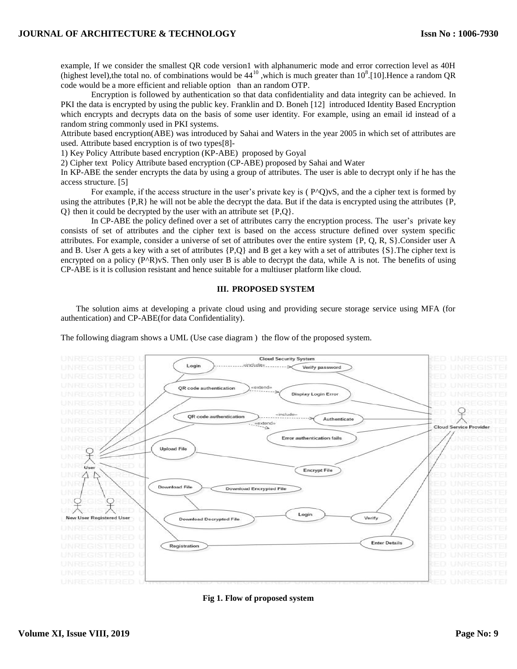example, If we consider the smallest QR code version1 with alphanumeric mode and error correction level as 40H (highest level), the total no. of combinations would be  $44^{10}$ , which is much greater than  $10^8$ . [10]. Hence a random QR code would be a more efficient and reliable option than an random OTP.

Encryption is followed by authentication so that data confidentiality and data integrity can be achieved. In PKI the data is encrypted by using the public key. Franklin and D. Boneh [12] introduced Identity Based Encryption which encrypts and decrypts data on the basis of some user identity. For example, using an email id instead of a random string commonly used in PKI systems.

Attribute based encryption(ABE) was introduced by Sahai and Waters in the year 2005 in which set of attributes are used. Attribute based encryption is of two types[8]-

1) Key Policy Attribute based encryption (KP-ABE) proposed by Goyal

2) Cipher text Policy Attribute based encryption (CP-ABE) proposed by Sahai and Water

In KP-ABE the sender encrypts the data by using a group of attributes. The user is able to decrypt only if he has the access structure. [5]

For example, if the access structure in the user's private key is ( $P^O$ )vS, and the a cipher text is formed by using the attributes  $\{P, R\}$  he will not be able the decrypt the data. But if the data is encrypted using the attributes  $\{P, P\}$ Q} then it could be decrypted by the user with an attribute set {P,Q}.

In CP-ABE the policy defined over a set of attributes carry the encryption process. The user's private key consists of set of attributes and the cipher text is based on the access structure defined over system specific attributes. For example, consider a universe of set of attributes over the entire system {P, Q, R, S}.Consider user A and B. User A gets a key with a set of attributes  $\{P,Q\}$  and B get a key with a set of attributes  $\{S\}$ . The cipher text is encrypted on a policy  $(P^AR)VS$ . Then only user B is able to decrypt the data, while A is not. The benefits of using CP-ABE is it is collusion resistant and hence suitable for a multiuser platform like cloud.

## **III. PROPOSED SYSTEM**

The solution aims at developing a private cloud using and providing secure storage service using MFA (for authentication) and CP-ABE(for data Confidentiality).

The following diagram shows a UML (Use case diagram ) the flow of the proposed system.



**Fig 1. Flow of proposed system**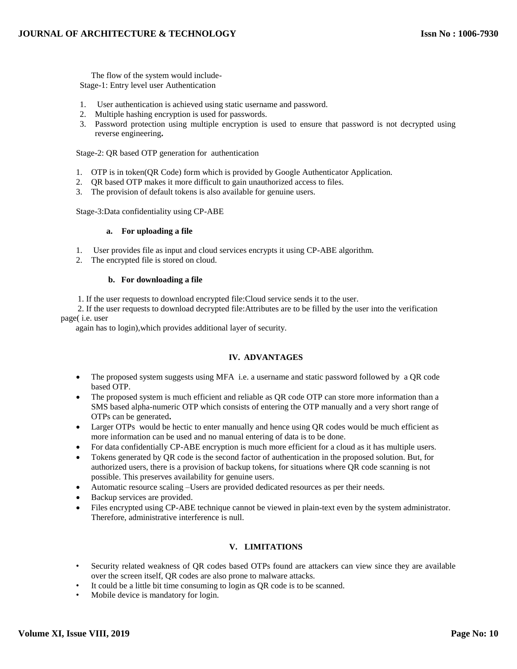The flow of the system would include-Stage-1: Entry level user Authentication

- 1. User authentication is achieved using static username and password.
- 2. Multiple hashing encryption is used for passwords.
- 3. Password protection using multiple encryption is used to ensure that password is not decrypted using reverse engineering**.**

Stage-2: QR based OTP generation for authentication

- 1. OTP is in token(QR Code) form which is provided by Google Authenticator Application.
- 2. QR based OTP makes it more difficult to gain unauthorized access to files.
- 3. The provision of default tokens is also available for genuine users.

Stage-3:Data confidentiality using CP-ABE

#### **a. For uploading a file**

- 1. User provides file as input and cloud services encrypts it using CP-ABE algorithm.
- 2. The encrypted file is stored on cloud.

#### **b. For downloading a file**

1. If the user requests to download encrypted file:Cloud service sends it to the user.

 2. If the user requests to download decrypted file:Attributes are to be filled by the user into the verification page( i.e. user

again has to login),which provides additional layer of security.

## **IV. ADVANTAGES**

- The proposed system suggests using MFA i.e. a username and static password followed by a QR code based OTP.
- The proposed system is much efficient and reliable as QR code OTP can store more information than a SMS based alpha-numeric OTP which consists of entering the OTP manually and a very short range of OTPs can be generated**.**
- Larger OTPs would be hectic to enter manually and hence using QR codes would be much efficient as more information can be used and no manual entering of data is to be done.
- For data confidentially CP-ABE encryption is much more efficient for a cloud as it has multiple users.
- Tokens generated by QR code is the second factor of authentication in the proposed solution. But, for authorized users, there is a provision of backup tokens, for situations where QR code scanning is not possible. This preserves availability for genuine users.
- Automatic resource scaling –Users are provided dedicated resources as per their needs.
- Backup services are provided.
- Files encrypted using CP-ABE technique cannot be viewed in plain-text even by the system administrator. Therefore, administrative interference is null.

## **V. LIMITATIONS**

- Security related weakness of QR codes based OTPs found are attackers can view since they are available over the screen itself, QR codes are also prone to malware attacks.
- It could be a little bit time consuming to login as QR code is to be scanned.
- Mobile device is mandatory for login.